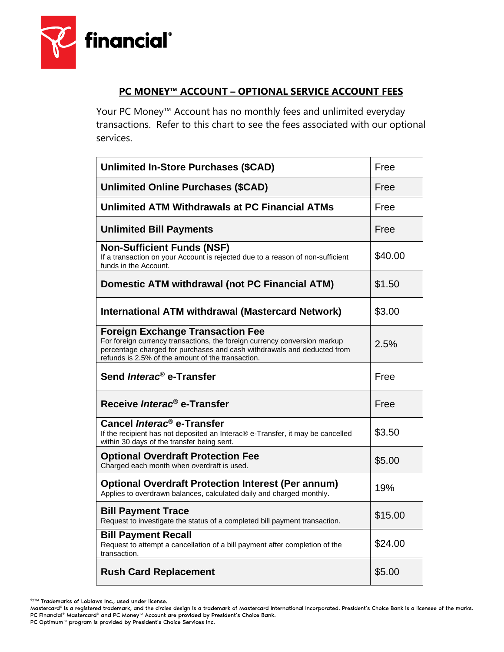

## **PC MONEY™ ACCOUNT – OPTIONAL SERVICE ACCOUNT FEES**

Your PC Money™ Account has no monthly fees and unlimited everyday transactions. Refer to this chart to see the fees associated with our optional services.

| <b>Unlimited In-Store Purchases (\$CAD)</b>                                                                                                                                                                                                          | Free    |
|------------------------------------------------------------------------------------------------------------------------------------------------------------------------------------------------------------------------------------------------------|---------|
| <b>Unlimited Online Purchases (\$CAD)</b>                                                                                                                                                                                                            | Free    |
| Unlimited ATM Withdrawals at PC Financial ATMs                                                                                                                                                                                                       | Free    |
| <b>Unlimited Bill Payments</b>                                                                                                                                                                                                                       | Free    |
| <b>Non-Sufficient Funds (NSF)</b><br>If a transaction on your Account is rejected due to a reason of non-sufficient<br>funds in the Account.                                                                                                         | \$40.00 |
| Domestic ATM withdrawal (not PC Financial ATM)                                                                                                                                                                                                       | \$1.50  |
| <b>International ATM withdrawal (Mastercard Network)</b>                                                                                                                                                                                             | \$3.00  |
| <b>Foreign Exchange Transaction Fee</b><br>For foreign currency transactions, the foreign currency conversion markup<br>percentage charged for purchases and cash withdrawals and deducted from<br>refunds is 2.5% of the amount of the transaction. | 2.5%    |
| Send Interac® e-Transfer                                                                                                                                                                                                                             | Free    |
| Receive <i>Interac®</i> e-Transfer                                                                                                                                                                                                                   | Free    |
| Cancel <i>Interac®</i> e-Transfer<br>If the recipient has not deposited an Interac® e-Transfer, it may be cancelled<br>within 30 days of the transfer being sent.                                                                                    | \$3.50  |
| <b>Optional Overdraft Protection Fee</b><br>Charged each month when overdraft is used.                                                                                                                                                               | \$5.00  |
| <b>Optional Overdraft Protection Interest (Per annum)</b><br>Applies to overdrawn balances, calculated daily and charged monthly.                                                                                                                    | 19%     |
| <b>Bill Payment Trace</b><br>Request to investigate the status of a completed bill payment transaction.                                                                                                                                              | \$15.00 |
| <b>Bill Payment Recall</b><br>Request to attempt a cancellation of a bill payment after completion of the<br>transaction.                                                                                                                            | \$24.00 |
| <b>Rush Card Replacement</b>                                                                                                                                                                                                                         | \$5.00  |

<sup>®/</sup>TM Trademarks of Loblaws Inc., used under license.

Mastercard® is a registered trademark, and the circles design is a trademark of Mastercard International Incorporated. President's Choice Bank is a licensee of the marks. PC Financial® Mastercard® and PC Money™ Account are provided by President's Choice Bank.